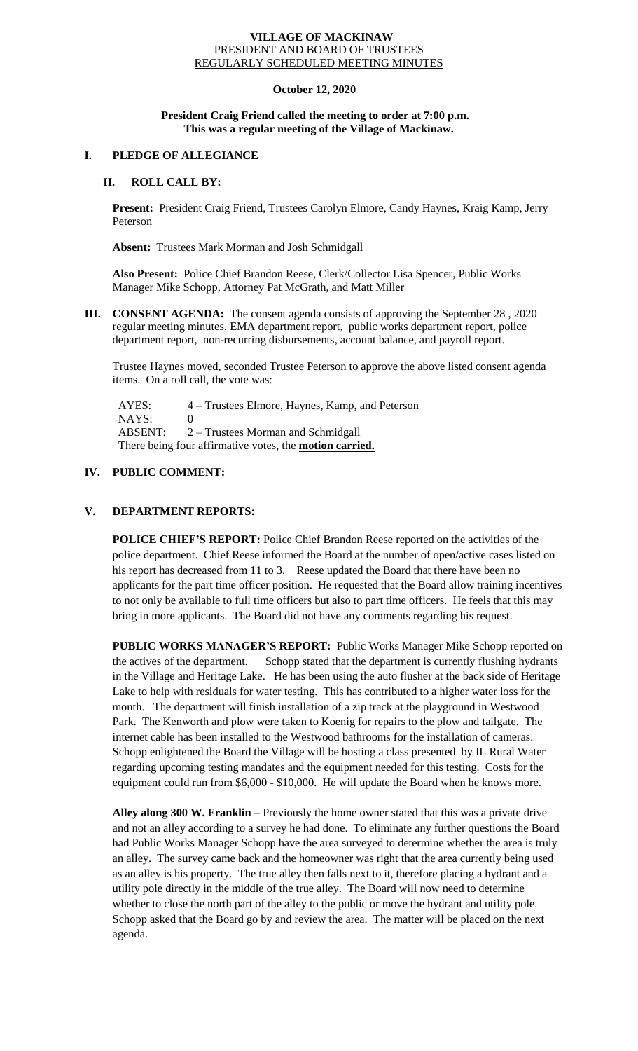#### **VILLAGE OF MACKINAW** PRESIDENT AND BOARD OF TRUSTEES REGULARLY SCHEDULED MEETING MINUTES

## **October 12, 2020**

### **President Craig Friend called the meeting to order at 7:00 p.m. This was a regular meeting of the Village of Mackinaw.**

# **I. PLEDGE OF ALLEGIANCE**

## **II. ROLL CALL BY:**

**Present:** President Craig Friend, Trustees Carolyn Elmore, Candy Haynes, Kraig Kamp, Jerry Peterson

**Absent:** Trustees Mark Morman and Josh Schmidgall

**Also Present:** Police Chief Brandon Reese, Clerk/Collector Lisa Spencer, Public Works Manager Mike Schopp, Attorney Pat McGrath, and Matt Miller

**III. CONSENT AGENDA:** The consent agenda consists of approving the September 28 , 2020 regular meeting minutes, EMA department report, public works department report, police department report, non-recurring disbursements, account balance, and payroll report.

Trustee Haynes moved, seconded Trustee Peterson to approve the above listed consent agenda items. On a roll call, the vote was:

 AYES: 4 – Trustees Elmore, Haynes, Kamp, and Peterson NAYS: 0 ABSENT: 2 – Trustees Morman and Schmidgall There being four affirmative votes, the **motion carried.**

# **IV. PUBLIC COMMENT:**

# **V. DEPARTMENT REPORTS:**

**POLICE CHIEF'S REPORT:** Police Chief Brandon Reese reported on the activities of the police department. Chief Reese informed the Board at the number of open/active cases listed on his report has decreased from 11 to 3. Reese updated the Board that there have been no applicants for the part time officer position. He requested that the Board allow training incentives to not only be available to full time officers but also to part time officers. He feels that this may bring in more applicants. The Board did not have any comments regarding his request.

**PUBLIC WORKS MANAGER'S REPORT:** Public Works Manager Mike Schopp reported on the actives of the department. Schopp stated that the department is currently flushing hydrants in the Village and Heritage Lake. He has been using the auto flusher at the back side of Heritage Lake to help with residuals for water testing. This has contributed to a higher water loss for the month. The department will finish installation of a zip track at the playground in Westwood Park. The Kenworth and plow were taken to Koenig for repairs to the plow and tailgate. The internet cable has been installed to the Westwood bathrooms for the installation of cameras. Schopp enlightened the Board the Village will be hosting a class presented by IL Rural Water regarding upcoming testing mandates and the equipment needed for this testing. Costs for the equipment could run from \$6,000 - \$10,000. He will update the Board when he knows more.

**Alley along 300 W. Franklin** – Previously the home owner stated that this was a private drive and not an alley according to a survey he had done. To eliminate any further questions the Board had Public Works Manager Schopp have the area surveyed to determine whether the area is truly an alley. The survey came back and the homeowner was right that the area currently being used as an alley is his property. The true alley then falls next to it, therefore placing a hydrant and a utility pole directly in the middle of the true alley. The Board will now need to determine whether to close the north part of the alley to the public or move the hydrant and utility pole. Schopp asked that the Board go by and review the area. The matter will be placed on the next agenda.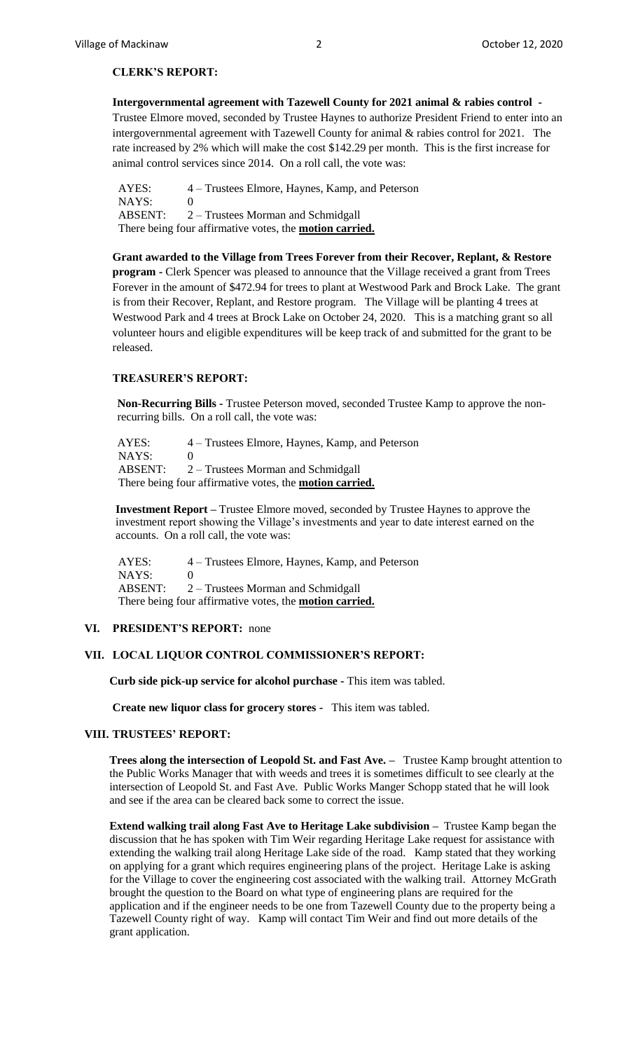### **CLERK'S REPORT:**

**Intergovernmental agreement with Tazewell County for 2021 animal & rabies control -** Trustee Elmore moved, seconded by Trustee Haynes to authorize President Friend to enter into an intergovernmental agreement with Tazewell County for animal & rabies control for 2021. The rate increased by 2% which will make the cost \$142.29 per month. This is the first increase for animal control services since 2014. On a roll call, the vote was:

 AYES: 4 – Trustees Elmore, Haynes, Kamp, and Peterson NAYS: 0 ABSENT: 2 – Trustees Morman and Schmidgall There being four affirmative votes, the **motion carried.**

**Grant awarded to the Village from Trees Forever from their Recover, Replant, & Restore program -** Clerk Spencer was pleased to announce that the Village received a grant from Trees Forever in the amount of \$472.94 for trees to plant at Westwood Park and Brock Lake. The grant is from their Recover, Replant, and Restore program. The Village will be planting 4 trees at Westwood Park and 4 trees at Brock Lake on October 24, 2020. This is a matching grant so all volunteer hours and eligible expenditures will be keep track of and submitted for the grant to be released.

#### **TREASURER'S REPORT:**

**Non-Recurring Bills -** Trustee Peterson moved, seconded Trustee Kamp to approve the nonrecurring bills. On a roll call, the vote was:

AYES: 4 – Trustees Elmore, Haynes, Kamp, and Peterson NAYS: 0 ABSENT: 2 – Trustees Morman and Schmidgall There being four affirmative votes, the **motion carried.**

**Investment Report –** Trustee Elmore moved, seconded by Trustee Haynes to approve the investment report showing the Village's investments and year to date interest earned on the accounts. On a roll call, the vote was:

 AYES: 4 – Trustees Elmore, Haynes, Kamp, and Peterson NAYS: 0 ABSENT: 2 – Trustees Morman and Schmidgall There being four affirmative votes, the **motion carried.**

### **VI. PRESIDENT'S REPORT:** none

### **VII. LOCAL LIQUOR CONTROL COMMISSIONER'S REPORT:**

 **Curb side pick-up service for alcohol purchase -** This item was tabled.

**Create new liquor class for grocery stores -** This item was tabled.

#### **VIII. TRUSTEES' REPORT:**

**Trees along the intersection of Leopold St. and Fast Ave. –** Trustee Kamp brought attention to the Public Works Manager that with weeds and trees it is sometimes difficult to see clearly at the intersection of Leopold St. and Fast Ave. Public Works Manger Schopp stated that he will look and see if the area can be cleared back some to correct the issue.

**Extend walking trail along Fast Ave to Heritage Lake subdivision –** Trustee Kamp began the discussion that he has spoken with Tim Weir regarding Heritage Lake request for assistance with extending the walking trail along Heritage Lake side of the road. Kamp stated that they working on applying for a grant which requires engineering plans of the project. Heritage Lake is asking for the Village to cover the engineering cost associated with the walking trail. Attorney McGrath brought the question to the Board on what type of engineering plans are required for the application and if the engineer needs to be one from Tazewell County due to the property being a Tazewell County right of way. Kamp will contact Tim Weir and find out more details of the grant application.